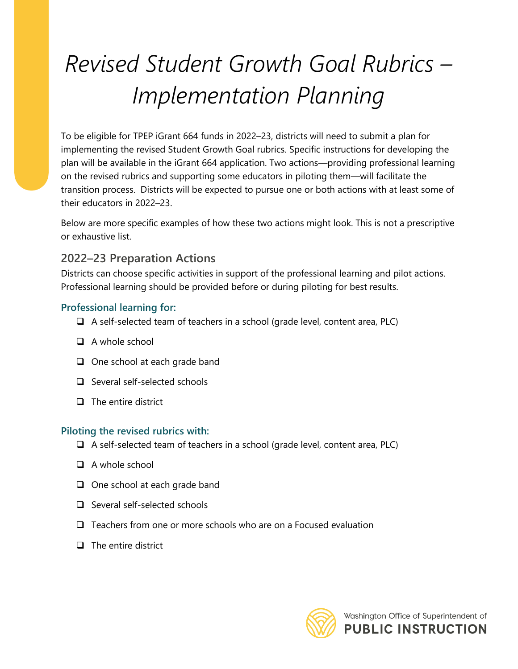# *Revised Student Growth Goal Rubrics – Implementation Planning*

To be eligible for TPEP iGrant 664 funds in 2022–23, districts will need to submit a plan for implementing the revised Student Growth Goal rubrics. Specific instructions for developing the plan will be available in the iGrant 664 application. Two actions—providing professional learning on the revised rubrics and supporting some educators in piloting them—will facilitate the transition process. Districts will be expected to pursue one or both actions with at least some of their educators in 2022–23.

Below are more specific examples of how these two actions might look. This is not a prescriptive or exhaustive list.

# **2022–23 Preparation Actions**

Districts can choose specific activities in support of the professional learning and pilot actions. Professional learning should be provided before or during piloting for best results.

## **Professional learning for:**

- ❑ A self-selected team of teachers in a school (grade level, content area, PLC)
- ❑ A whole school
- ❑ One school at each grade band
- ❑ Several self-selected schools
- ❑ The entire district

## **Piloting the revised rubrics with:**

- ❑ A self-selected team of teachers in a school (grade level, content area, PLC)
- ❑ A whole school
- ❑ One school at each grade band
- ❑ Several self-selected schools
- ❑ Teachers from one or more schools who are on a Focused evaluation
- ❑ The entire district